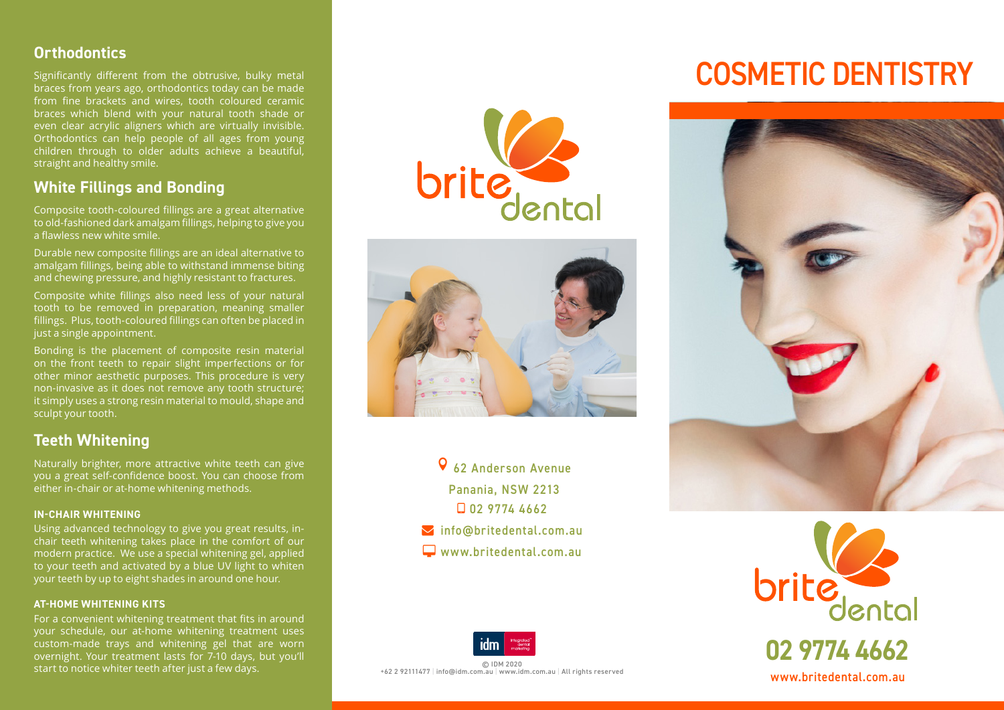#### **Orthodontics**

Significantly different from the obtrusive, bulky metal braces from years ago, orthodontics today can be made from fine brackets and wires, tooth coloured ceramic braces which blend with your natural tooth shade or even clear acrylic aligners which are virtually invisible. Orthodontics can help people of all ages from young children through to older adults achieve a beautiful, straight and healthy smile.

### **White Fillings and Bonding**

Composite tooth-coloured fillings are a great alternative to old-fashioned dark amalgam fillings, helping to give you a flawless new white smile.

Durable new composite fillings are an ideal alternative to amalgam fillings, being able to withstand immense biting and chewing pressure, and highly resistant to fractures.

Composite white fillings also need less of your natural tooth to be removed in preparation, meaning smaller fillings. Plus, tooth-coloured fillings can often be placed in just a single appointment.

Bonding is the placement of composite resin material on the front teeth to repair slight imperfections or for other minor aesthetic purposes. This procedure is very non-invasive as it does not remove any tooth structure; it simply uses a strong resin material to mould, shape and sculpt your tooth.

## **Teeth Whitening**

Naturally brighter, more attractive white teeth can give you a great self-confidence boost. You can choose from either in-chair or at-home whitening methods.

#### **IN-CHAIR WHITENING**

Using advanced technology to give you great results, inchair teeth whitening takes place in the comfort of our modern practice. We use a special whitening gel, applied to your teeth and activated by a blue UV light to whiten your teeth by up to eight shades in around one hour.

#### **AT-HOME WHITENING KITS**

For a convenient whitening treatment that fits in around your schedule, our at-home whitening treatment uses custom-made trays and whitening gel that are worn overnight. Your treatment lasts for 7-10 days, but you'll start to notice whiter teeth after just a few days.





- 62 Anderson Avenue Panania, NSW 2213 02 9774 4662 **M**info@britedental.com.au
- www.britedental.com.au



© IDM 2020 +62 2 92111477 | info@idm.com.au | www.idm.com.au | All rights reserved

# COSMETIC DENTISTRY





**02 9774 4662** www.britedental.com.au